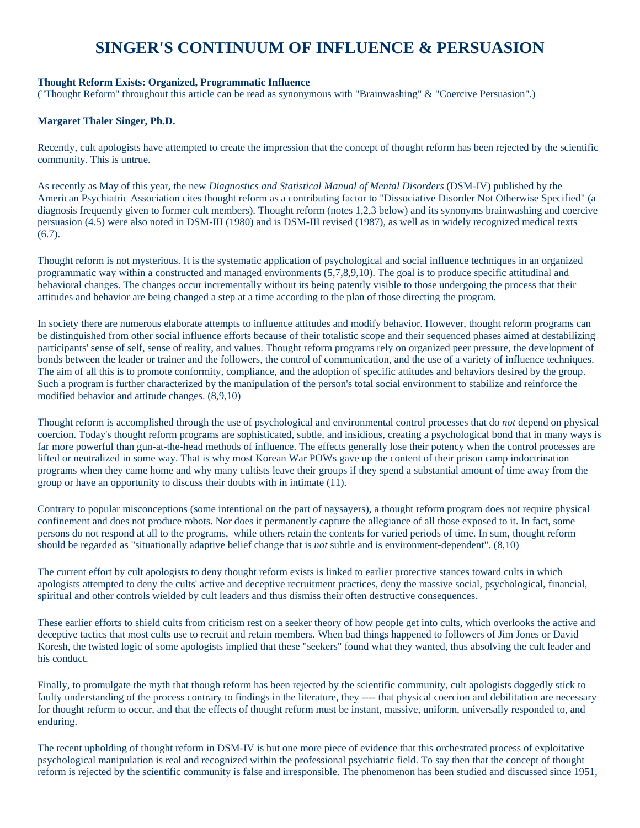# **SINGER'S CONTINUUM OF INFLUENCE & PERSUASION**

## **Thought Reform Exists: Organized, Programmatic Influence**

("Thought Reform" throughout this article can be read as synonymous with "Brainwashing" & "Coercive Persuasion".)

## **Margaret Thaler Singer, Ph.D.**

Recently, cult apologists have attempted to create the impression that the concept of thought reform has been rejected by the scientific community. This is untrue.

As recently as May of this year, the new *Diagnostics and Statistical Manual of Mental Disorders* (DSM-IV) published by the American Psychiatric Association cites thought reform as a contributing factor to "Dissociative Disorder Not Otherwise Specified" (a diagnosis frequently given to former cult members). Thought reform (notes 1,2,3 below) and its synonyms brainwashing and coercive persuasion (4.5) were also noted in DSM-III (1980) and is DSM-III revised (1987), as well as in widely recognized medical texts (6.7).

Thought reform is not mysterious. It is the systematic application of psychological and social influence techniques in an organized programmatic way within a constructed and managed environments (5,7,8,9,10). The goal is to produce specific attitudinal and behavioral changes. The changes occur incrementally without its being patently visible to those undergoing the process that their attitudes and behavior are being changed a step at a time according to the plan of those directing the program.

In society there are numerous elaborate attempts to influence attitudes and modify behavior. However, thought reform programs can be distinguished from other social influence efforts because of their totalistic scope and their sequenced phases aimed at destabilizing participants' sense of self, sense of reality, and values. Thought reform programs rely on organized peer pressure, the development of bonds between the leader or trainer and the followers, the control of communication, and the use of a variety of influence techniques. The aim of all this is to promote conformity, compliance, and the adoption of specific attitudes and behaviors desired by the group. Such a program is further characterized by the manipulation of the person's total social environment to stabilize and reinforce the modified behavior and attitude changes. (8,9,10)

Thought reform is accomplished through the use of psychological and environmental control processes that do *not* depend on physical coercion. Today's thought reform programs are sophisticated, subtle, and insidious, creating a psychological bond that in many ways is far more powerful than gun-at-the-head methods of influence. The effects generally lose their potency when the control processes are lifted or neutralized in some way. That is why most Korean War POWs gave up the content of their prison camp indoctrination programs when they came home and why many cultists leave their groups if they spend a substantial amount of time away from the group or have an opportunity to discuss their doubts with in intimate (11).

Contrary to popular misconceptions (some intentional on the part of naysayers), a thought reform program does not require physical confinement and does not produce robots. Nor does it permanently capture the allegiance of all those exposed to it. In fact, some persons do not respond at all to the programs, while others retain the contents for varied periods of time. In sum, thought reform should be regarded as "situationally adaptive belief change that is *not* subtle and is environment-dependent". (8,10)

The current effort by cult apologists to deny thought reform exists is linked to earlier protective stances toward cults in which apologists attempted to deny the cults' active and deceptive recruitment practices, deny the massive social, psychological, financial, spiritual and other controls wielded by cult leaders and thus dismiss their often destructive consequences.

These earlier efforts to shield cults from criticism rest on a seeker theory of how people get into cults, which overlooks the active and deceptive tactics that most cults use to recruit and retain members. When bad things happened to followers of Jim Jones or David Koresh, the twisted logic of some apologists implied that these "seekers" found what they wanted, thus absolving the cult leader and his conduct.

Finally, to promulgate the myth that though reform has been rejected by the scientific community, cult apologists doggedly stick to faulty understanding of the process contrary to findings in the literature, they ---- that physical coercion and debilitation are necessary for thought reform to occur, and that the effects of thought reform must be instant, massive, uniform, universally responded to, and enduring.

The recent upholding of thought reform in DSM-IV is but one more piece of evidence that this orchestrated process of exploitative psychological manipulation is real and recognized within the professional psychiatric field. To say then that the concept of thought reform is rejected by the scientific community is false and irresponsible. The phenomenon has been studied and discussed since 1951,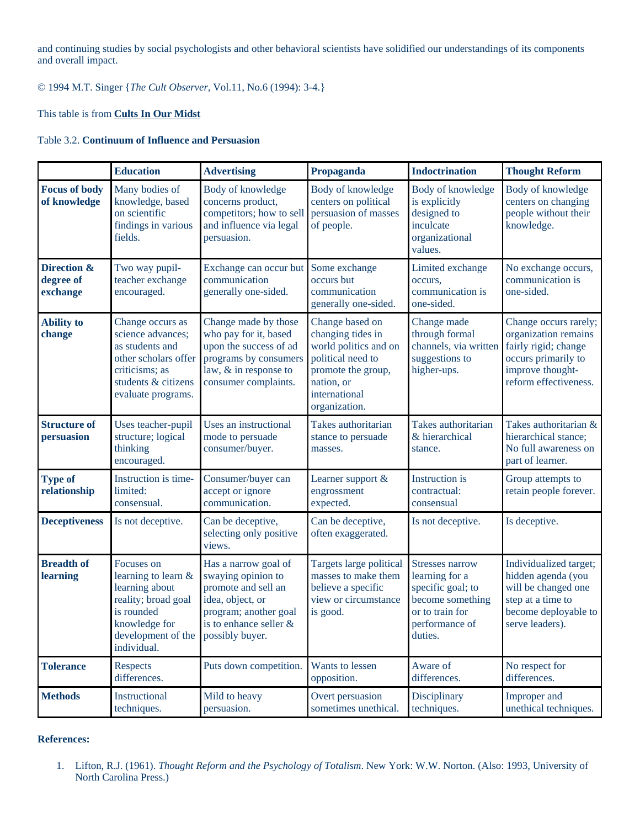and continuing studies by social psychologists and other behavioral scientists have solidified our understandings of its components and overall impact.

© 1994 M.T. Singer {*The Cult Observer*, Vol.11, No.6 (1994): 3-4.}

## This table is from **[Cults In Our Midst](http://www.amazon.com/exec/obidos/ASIN/0787902667/factnet-20/104-9374991-5971130)**

## Table 3.2. **Continuum of Influence and Persuasion**

|                                      | <b>Education</b>                                                                                                                                               | <b>Advertising</b>                                                                                                                                | Propaganda                                                                                                                                               | <b>Indoctrination</b>                                                                                                             | <b>Thought Reform</b>                                                                                                                     |
|--------------------------------------|----------------------------------------------------------------------------------------------------------------------------------------------------------------|---------------------------------------------------------------------------------------------------------------------------------------------------|----------------------------------------------------------------------------------------------------------------------------------------------------------|-----------------------------------------------------------------------------------------------------------------------------------|-------------------------------------------------------------------------------------------------------------------------------------------|
| <b>Focus of body</b><br>of knowledge | Many bodies of<br>knowledge, based<br>on scientific<br>findings in various<br>fields.                                                                          | Body of knowledge<br>concerns product,<br>competitors; how to sell<br>and influence via legal<br>persuasion.                                      | Body of knowledge<br>centers on political<br>persuasion of masses<br>of people.                                                                          | Body of knowledge<br>is explicitly<br>designed to<br>inculcate<br>organizational<br>values.                                       | Body of knowledge<br>centers on changing<br>people without their<br>knowledge.                                                            |
| Direction &<br>degree of<br>exchange | Two way pupil-<br>teacher exchange<br>encouraged.                                                                                                              | Exchange can occur but Some exchange<br>communication<br>generally one-sided.                                                                     | occurs but<br>communication<br>generally one-sided.                                                                                                      | Limited exchange<br>occurs,<br>communication is<br>one-sided.                                                                     | No exchange occurs,<br>communication is<br>one-sided.                                                                                     |
| <b>Ability to</b><br>change          | Change occurs as<br>science advances;<br>as students and<br>other scholars offer<br>criticisms; as<br>students & citizens<br>evaluate programs.                | Change made by those<br>who pay for it, based<br>upon the success of ad<br>programs by consumers<br>law, & in response to<br>consumer complaints. | Change based on<br>changing tides in<br>world politics and on<br>political need to<br>promote the group,<br>nation, or<br>international<br>organization. | Change made<br>through formal<br>channels, via written<br>suggestions to<br>higher-ups.                                           | Change occurs rarely;<br>organization remains<br>fairly rigid; change<br>occurs primarily to<br>improve thought-<br>reform effectiveness. |
| <b>Structure of</b><br>persuasion    | Uses teacher-pupil<br>structure; logical<br>thinking<br>encouraged.                                                                                            | Uses an instructional<br>mode to persuade<br>consumer/buyer.                                                                                      | Takes authoritarian<br>stance to persuade<br>masses.                                                                                                     | Takes authoritarian<br>& hierarchical<br>stance.                                                                                  | Takes authoritarian &<br>hierarchical stance;<br>No full awareness on<br>part of learner.                                                 |
| <b>Type of</b><br>relationship       | Instruction is time-<br>limited:<br>consensual.                                                                                                                | Consumer/buyer can<br>accept or ignore<br>communication.                                                                                          | Learner support &<br>engrossment<br>expected.                                                                                                            | Instruction is<br>contractual:<br>consensual                                                                                      | Group attempts to<br>retain people forever.                                                                                               |
| <b>Deceptiveness</b>                 | Is not deceptive.                                                                                                                                              | Can be deceptive,<br>selecting only positive<br>views.                                                                                            | Can be deceptive,<br>often exaggerated.                                                                                                                  | Is not deceptive.                                                                                                                 | Is deceptive.                                                                                                                             |
| <b>Breadth of</b><br>learning        | Focuses on<br>learning to learn &<br>learning about<br>reality; broad goal<br>is rounded<br>knowledge for<br>development of the possibly buyer.<br>individual. | Has a narrow goal of<br>swaying opinion to<br>promote and sell an<br>idea, object, or<br>program; another goal<br>is to enhance seller &          | Targets large political<br>masses to make them<br>believe a specific<br>view or circumstance<br>is good.                                                 | <b>Stresses narrow</b><br>learning for a<br>specific goal; to<br>become something<br>or to train for<br>performance of<br>duties. | Individualized target;<br>hidden agenda (you<br>will be changed one<br>step at a time to<br>become deployable to<br>serve leaders).       |
| <b>Tolerance</b>                     | Respects<br>differences.                                                                                                                                       | Puts down competition.                                                                                                                            | Wants to lessen<br>opposition.                                                                                                                           | Aware of<br>differences.                                                                                                          | No respect for<br>differences.                                                                                                            |
| <b>Methods</b>                       | Instructional<br>techniques.                                                                                                                                   | Mild to heavy<br>persuasion.                                                                                                                      | Overt persuasion<br>sometimes unethical.                                                                                                                 | Disciplinary<br>techniques.                                                                                                       | Improper and<br>unethical techniques.                                                                                                     |

### **References:**

1. Lifton, R.J. (1961). *Thought Reform and the Psychology of Totalism*. New York: W.W. Norton. (Also: 1993, University of North Carolina Press.)